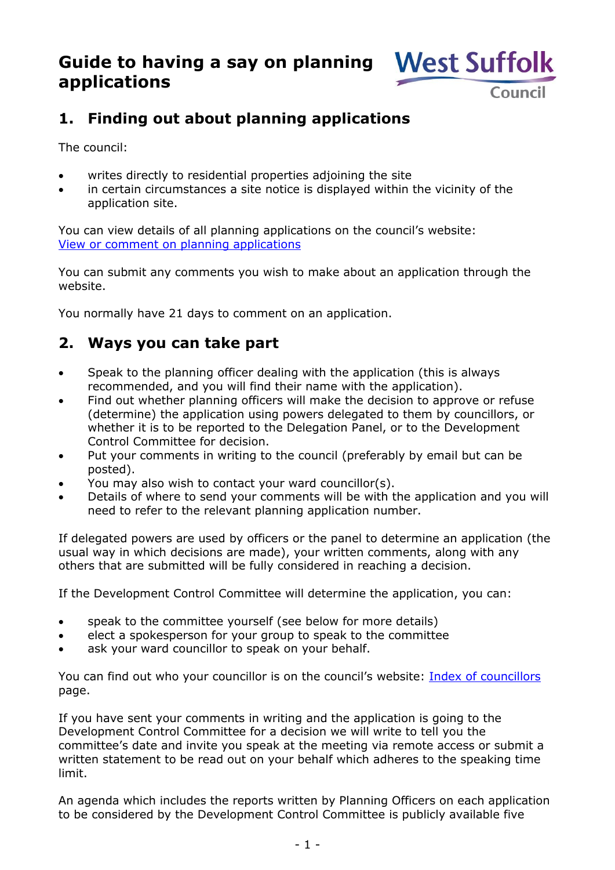# **Guide to having a say on planning applications**



## **1. Finding out about planning applications**

The council:

- writes directly to residential properties adjoining the site
- in certain circumstances a site notice is displayed within the vicinity of the application site.

You can view details of all planning applications on the council's website: [View or comment on planning applications](https://www.westsuffolk.gov.uk/planningapplications) 

You can submit any comments you wish to make about an application through the website.

You normally have 21 days to comment on an application.

### **2. Ways you can take part**

- Speak to the planning officer dealing with the application (this is always recommended, and you will find their name with the application).
- Find out whether planning officers will make the decision to approve or refuse (determine) the application using powers delegated to them by councillors, or whether it is to be reported to the Delegation Panel, or to the Development Control Committee for decision.
- Put your comments in writing to the council (preferably by email but can be posted).
- You may also wish to contact your ward councillor(s).
- Details of where to send your comments will be with the application and you will need to refer to the relevant planning application number.

If delegated powers are used by officers or the panel to determine an application (the usual way in which decisions are made), your written comments, along with any others that are submitted will be fully considered in reaching a decision.

If the Development Control Committee will determine the application, you can:

- speak to the committee yourself (see below for more details)
- elect a spokesperson for your group to speak to the committee
- ask your ward councillor to speak on your behalf.

You can find out who your councillor is on the council's website: [Index of councillors](https://democracy.westsuffolk.gov.uk/mgMemberIndexGroup.aspx?g=WSSA@m=WSSA) page.

If you have sent your comments in writing and the application is going to the Development Control Committee for a decision we will write to tell you the committee's date and invite you speak at the meeting via remote access or submit a written statement to be read out on your behalf which adheres to the speaking time limit.

An agenda which includes the reports written by Planning Officers on each application to be considered by the Development Control Committee is publicly available five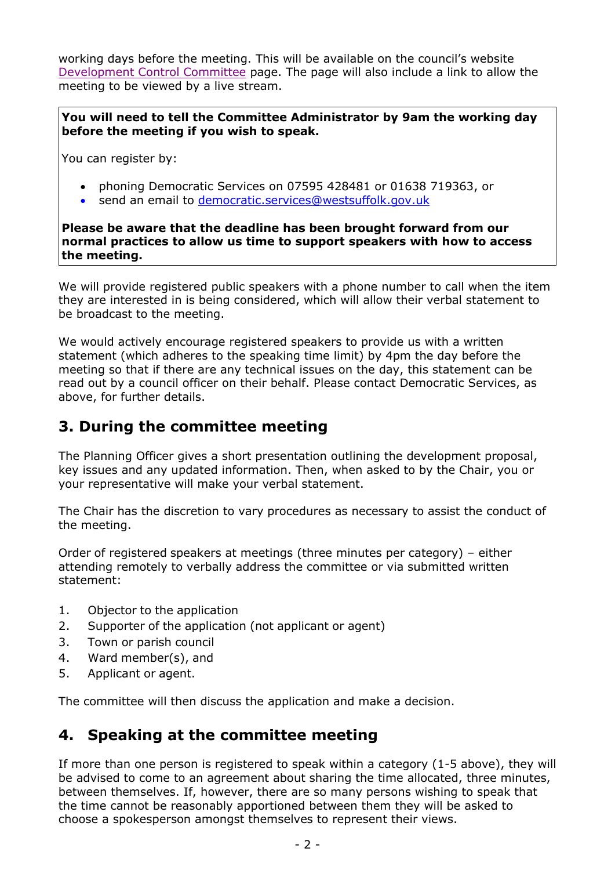working days before the meeting. This will be available on the council's website [Development Control Committee](https://democracy.westsuffolk.gov.uk/mgCommitteeDetails.aspx?ID=527) page. The page will also include a link to allow the meeting to be viewed by a live stream.

**You will need to tell the Committee Administrator by 9am the working day before the meeting if you wish to speak.** 

You can register by:

- phoning Democratic Services on 07595 428481 or 01638 719363, or
- send an email to [democratic.services@westsuffolk.gov.uk](mailto:democratic.services@westsuffolk.gov.uk)

**Please be aware that the deadline has been brought forward from our normal practices to allow us time to support speakers with how to access the meeting.**

We will provide registered public speakers with a phone number to call when the item they are interested in is being considered, which will allow their verbal statement to be broadcast to the meeting.

We would actively encourage registered speakers to provide us with a written statement (which adheres to the speaking time limit) by 4pm the day before the meeting so that if there are any technical issues on the day, this statement can be read out by a council officer on their behalf. Please contact Democratic Services, as above, for further details.

#### **3. During the committee meeting**

The Planning Officer gives a short presentation outlining the development proposal, key issues and any updated information. Then, when asked to by the Chair, you or your representative will make your verbal statement.

The Chair has the discretion to vary procedures as necessary to assist the conduct of the meeting.

Order of registered speakers at meetings (three minutes per category) – either attending remotely to verbally address the committee or via submitted written statement:

- 1. Objector to the application
- 2. Supporter of the application (not applicant or agent)
- 3. Town or parish council
- 4. Ward member(s), and
- 5. Applicant or agent.

The committee will then discuss the application and make a decision.

#### **4. Speaking at the committee meeting**

If more than one person is registered to speak within a category (1-5 above), they will be advised to come to an agreement about sharing the time allocated, three minutes, between themselves. If, however, there are so many persons wishing to speak that the time cannot be reasonably apportioned between them they will be asked to choose a spokesperson amongst themselves to represent their views.